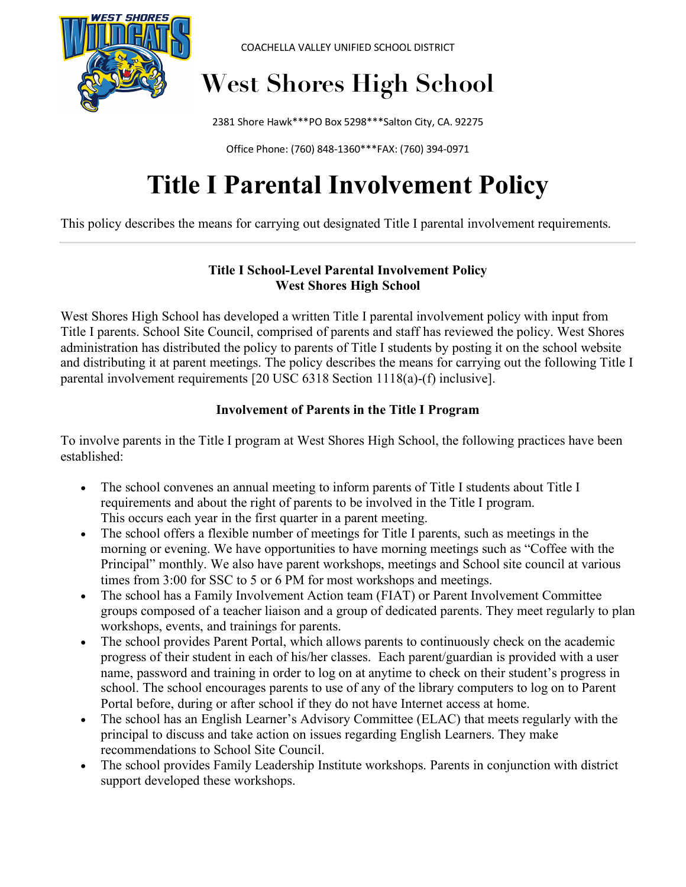

COACHELLA VALLEY UNIFIED SCHOOL DISTRICT

# **West Shores High School**

2381 Shore Hawk\*\*\*PO Box 5298\*\*\*Salton City, CA. 92275

Office Phone: (760) 848-1360\*\*\*FAX: (760) 394-0971

# **Title I Parental Involvement Policy**

This policy describes the means for carrying out designated Title I parental involvement requirements.

#### **Title I School-Level Parental Involvement Policy West Shores High School**

West Shores High School has developed a written Title I parental involvement policy with input from Title I parents. School Site Council, comprised of parents and staff has reviewed the policy. West Shores administration has distributed the policy to parents of Title I students by posting it on the school website and distributing it at parent meetings. The policy describes the means for carrying out the following Title I parental involvement requirements [20 USC 6318 Section 1118(a)-(f) inclusive].

### **Involvement of Parents in the Title I Program**

To involve parents in the Title I program at West Shores High School, the following practices have been established:

- The school convenes an annual meeting to inform parents of Title I students about Title I requirements and about the right of parents to be involved in the Title I program. This occurs each year in the first quarter in a parent meeting.
- The school offers a flexible number of meetings for Title I parents, such as meetings in the morning or evening. We have opportunities to have morning meetings such as "Coffee with the Principal" monthly. We also have parent workshops, meetings and School site council at various times from 3:00 for SSC to 5 or 6 PM for most workshops and meetings.
- The school has a Family Involvement Action team (FIAT) or Parent Involvement Committee groups composed of a teacher liaison and a group of dedicated parents. They meet regularly to plan workshops, events, and trainings for parents.
- The school provides Parent Portal, which allows parents to continuously check on the academic progress of their student in each of his/her classes. Each parent/guardian is provided with a user name, password and training in order to log on at anytime to check on their student's progress in school. The school encourages parents to use of any of the library computers to log on to Parent Portal before, during or after school if they do not have Internet access at home.
- The school has an English Learner's Advisory Committee (ELAC) that meets regularly with the principal to discuss and take action on issues regarding English Learners. They make recommendations to School Site Council.
- The school provides Family Leadership Institute workshops. Parents in conjunction with district support developed these workshops.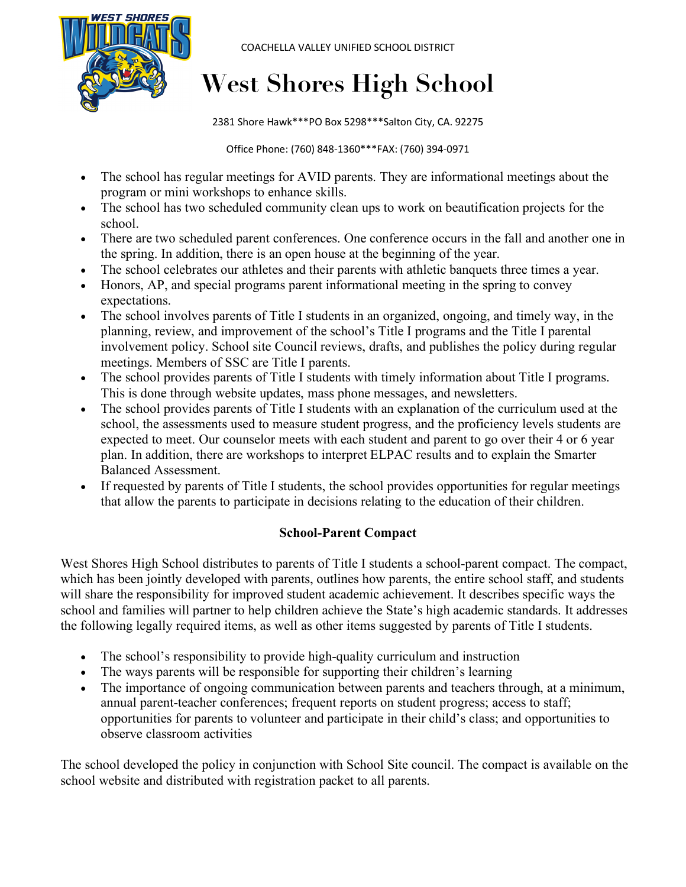

COACHELLA VALLEY UNIFIED SCHOOL DISTRICT

## **West Shores High School**

2381 Shore Hawk\*\*\*PO Box 5298\*\*\*Salton City, CA. 92275

Office Phone: (760) 848-1360\*\*\*FAX: (760) 394-0971

- The school has regular meetings for AVID parents. They are informational meetings about the program or mini workshops to enhance skills.
- The school has two scheduled community clean ups to work on beautification projects for the school.
- There are two scheduled parent conferences. One conference occurs in the fall and another one in the spring. In addition, there is an open house at the beginning of the year.
- The school celebrates our athletes and their parents with athletic banquets three times a year.
- Honors, AP, and special programs parent informational meeting in the spring to convey expectations.
- The school involves parents of Title I students in an organized, ongoing, and timely way, in the planning, review, and improvement of the school's Title I programs and the Title I parental involvement policy. School site Council reviews, drafts, and publishes the policy during regular meetings. Members of SSC are Title I parents.
- The school provides parents of Title I students with timely information about Title I programs. This is done through website updates, mass phone messages, and newsletters.
- The school provides parents of Title I students with an explanation of the curriculum used at the school, the assessments used to measure student progress, and the proficiency levels students are expected to meet. Our counselor meets with each student and parent to go over their 4 or 6 year plan. In addition, there are workshops to interpret ELPAC results and to explain the Smarter Balanced Assessment.
- If requested by parents of Title I students, the school provides opportunities for regular meetings that allow the parents to participate in decisions relating to the education of their children.

### **School-Parent Compact**

West Shores High School distributes to parents of Title I students a school-parent compact. The compact, which has been jointly developed with parents, outlines how parents, the entire school staff, and students will share the responsibility for improved student academic achievement. It describes specific ways the school and families will partner to help children achieve the State's high academic standards. It addresses the following legally required items, as well as other items suggested by parents of Title I students.

- The school's responsibility to provide high-quality curriculum and instruction
- The ways parents will be responsible for supporting their children's learning
- The importance of ongoing communication between parents and teachers through, at a minimum, annual parent-teacher conferences; frequent reports on student progress; access to staff; opportunities for parents to volunteer and participate in their child's class; and opportunities to observe classroom activities

The school developed the policy in conjunction with School Site council. The compact is available on the school website and distributed with registration packet to all parents.